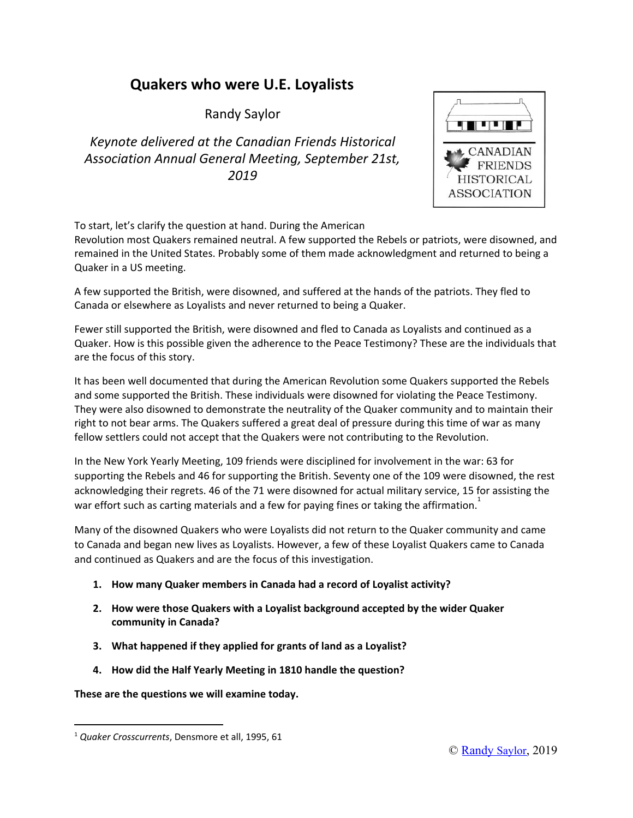# **Quakers who were U.E. Loyalists**

Randy Saylor

*Keynote delivered at the Canadian Friends Historical Association Annual General Meeting, September 21st, 2019*



To start, let's clarify the question at hand. During the American

Revolution most Quakers remained neutral. A few supported the Rebels or patriots, were disowned, and remained in the United States. Probably some of them made acknowledgment and returned to being a Quaker in a US meeting.

A few supported the British, were disowned, and suffered at the hands of the patriots. They fled to Canada or elsewhere as Loyalists and never returned to being a Quaker.

Fewer still supported the British, were disowned and fled to Canada as Loyalists and continued as a Quaker. How is this possible given the adherence to the Peace Testimony? These are the individuals that are the focus of this story.

It has been well documented that during the American Revolution some Quakers supported the Rebels and some supported the British. These individuals were disowned for violating the Peace Testimony. They were also disowned to demonstrate the neutrality of the Quaker community and to maintain their right to not bear arms. The Quakers suffered a great deal of pressure during this time of war as many fellow settlers could not accept that the Quakers were not contributing to the Revolution.

In the New York Yearly Meeting, 109 friends were disciplined for involvement in the war: 63 for supporting the Rebels and 46 for supporting the British. Seventy one of the 109 were disowned, the rest acknowledging their regrets. 46 of the 71 were disowned for actual military service, 15 for assisting the war effort such as carting materials and a few for paying fines or taking the affirmation.<sup>1</sup>

Many of the disowned Quakers who were Loyalists did not return to the Quaker community and came to Canada and began new lives as Loyalists. However, a few of these Loyalist Quakers came to Canada and continued as Quakers and are the focus of this investigation.

- **1. How many Quaker members in Canada had a record of Loyalist activity?**
- **2. How were those Quakers with a Loyalist background accepted by the wider Quaker community in Canada?**
- **3. What happened if they applied for grants of land as a Loyalist?**
- **4. How did the Half Yearly Meeting in 1810 handle the question?**

**These are the questions we will examine today.**

<sup>1</sup> *Quaker Crosscurrents*, Densmore et all, 1995, 61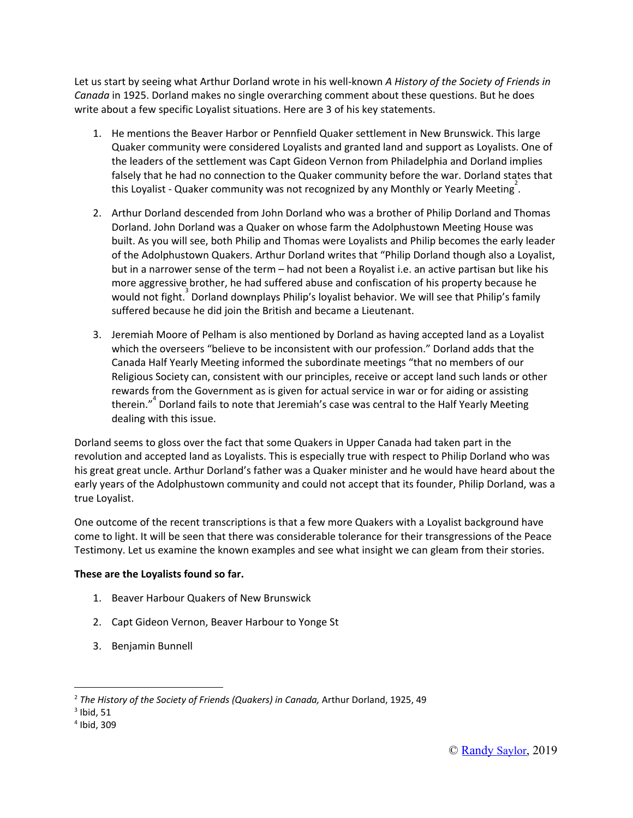Let us start by seeing what Arthur Dorland wrote in his well-known *A History of the Society of Friends in Canada* in 1925. Dorland makes no single overarching comment about these questions. But he does write about a few specific Loyalist situations. Here are 3 of his key statements.

- 1. He mentions the Beaver Harbor or Pennfield Quaker settlement in New Brunswick. This large Quaker community were considered Loyalists and granted land and support as Loyalists. One of the leaders of the settlement was Capt Gideon Vernon from Philadelphia and Dorland implies falsely that he had no connection to the Quaker community before the war. Dorland states that this Loyalist - Quaker community was not recognized by any Monthly or Yearly Meeting<sup>2</sup>.
- 2. Arthur Dorland descended from John Dorland who was a brother of Philip Dorland and Thomas Dorland. John Dorland was a Quaker on whose farm the Adolphustown Meeting House was built. As you will see, both Philip and Thomas were Loyalists and Philip becomes the early leader of the Adolphustown Quakers. Arthur Dorland writes that "Philip Dorland though also a Loyalist, but in a narrower sense of the term – had not been a Royalist i.e. an active partisan but like his more aggressive brother, he had suffered abuse and confiscation of his property because he would not fight.<sup>3</sup> Dorland downplays Philip's loyalist behavior. We will see that Philip's family suffered because he did join the British and became a Lieutenant.
- 3. Jeremiah Moore of Pelham is also mentioned by Dorland as having accepted land as a Loyalist which the overseers "believe to be inconsistent with our profession." Dorland adds that the Canada Half Yearly Meeting informed the subordinate meetings "that no members of our Religious Society can, consistent with our principles, receive or accept land such lands or other rewards from the Government as is given for actual service in war or for aiding or assisting therein."<sup>4</sup> Dorland fails to note that Jeremiah's case was central to the Half Yearly Meeting dealing with this issue.

Dorland seems to gloss over the fact that some Quakers in Upper Canada had taken part in the revolution and accepted land as Loyalists. This is especially true with respect to Philip Dorland who was his great great uncle. Arthur Dorland's father was a Quaker minister and he would have heard about the early years of the Adolphustown community and could not accept that its founder, Philip Dorland, was a true Loyalist.

One outcome of the recent transcriptions is that a few more Quakers with a Loyalist background have come to light. It will be seen that there was considerable tolerance for their transgressions of the Peace Testimony. Let us examine the known examples and see what insight we can gleam from their stories.

#### **These are the Loyalists found so far.**

- 1. Beaver Harbour Quakers of New Brunswick
- 2. Capt Gideon Vernon, Beaver Harbour to Yonge St
- 3. Benjamin Bunnell

<sup>2</sup> *The History of the Society of Friends (Quakers) in Canada,* Arthur Dorland, 1925, 49

 $3$  Ibid, 51

<sup>4</sup> Ibid, 309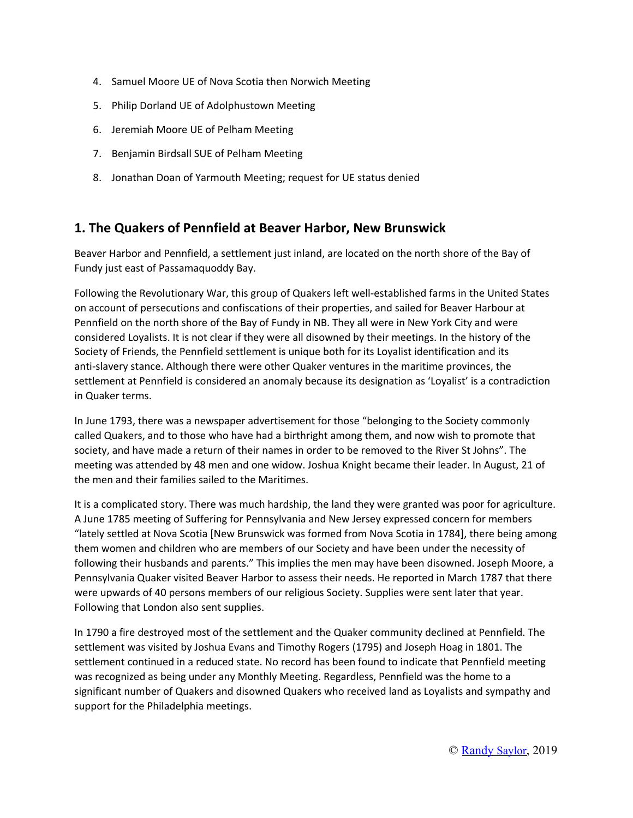- 4. Samuel Moore UE of Nova Scotia then Norwich Meeting
- 5. Philip Dorland UE of Adolphustown Meeting
- 6. Jeremiah Moore UE of Pelham Meeting
- 7. Benjamin Birdsall SUE of Pelham Meeting
- 8. Jonathan Doan of Yarmouth Meeting; request for UE status denied

#### **1. The Quakers of Pennfield at Beaver Harbor, New Brunswick**

Beaver Harbor and Pennfield, a settlement just inland, are located on the north shore of the Bay of Fundy just east of Passamaquoddy Bay.

Following the Revolutionary War, this group of Quakers left well-established farms in the United States on account of persecutions and confiscations of their properties, and sailed for Beaver Harbour at Pennfield on the north shore of the Bay of Fundy in NB. They all were in New York City and were considered Loyalists. It is not clear if they were all disowned by their meetings. In the history of the Society of Friends, the Pennfield settlement is unique both for its Loyalist identification and its anti-slavery stance. Although there were other Quaker ventures in the maritime provinces, the settlement at Pennfield is considered an anomaly because its designation as 'Loyalist' is a contradiction in Quaker terms.

In June 1793, there was a newspaper advertisement for those "belonging to the Society commonly called Quakers, and to those who have had a birthright among them, and now wish to promote that society, and have made a return of their names in order to be removed to the River St Johns". The meeting was attended by 48 men and one widow. Joshua Knight became their leader. In August, 21 of the men and their families sailed to the Maritimes.

It is a complicated story. There was much hardship, the land they were granted was poor for agriculture. A June 1785 meeting of Suffering for Pennsylvania and New Jersey expressed concern for members "lately settled at Nova Scotia [New Brunswick was formed from Nova Scotia in 1784], there being among them women and children who are members of our Society and have been under the necessity of following their husbands and parents." This implies the men may have been disowned. Joseph Moore, a Pennsylvania Quaker visited Beaver Harbor to assess their needs. He reported in March 1787 that there were upwards of 40 persons members of our religious Society. Supplies were sent later that year. Following that London also sent supplies.

In 1790 a fire destroyed most of the settlement and the Quaker community declined at Pennfield. The settlement was visited by Joshua Evans and Timothy Rogers (1795) and Joseph Hoag in 1801. The settlement continued in a reduced state. No record has been found to indicate that Pennfield meeting was recognized as being under any Monthly Meeting. Regardless, Pennfield was the home to a significant number of Quakers and disowned Quakers who received land as Loyalists and sympathy and support for the Philadelphia meetings.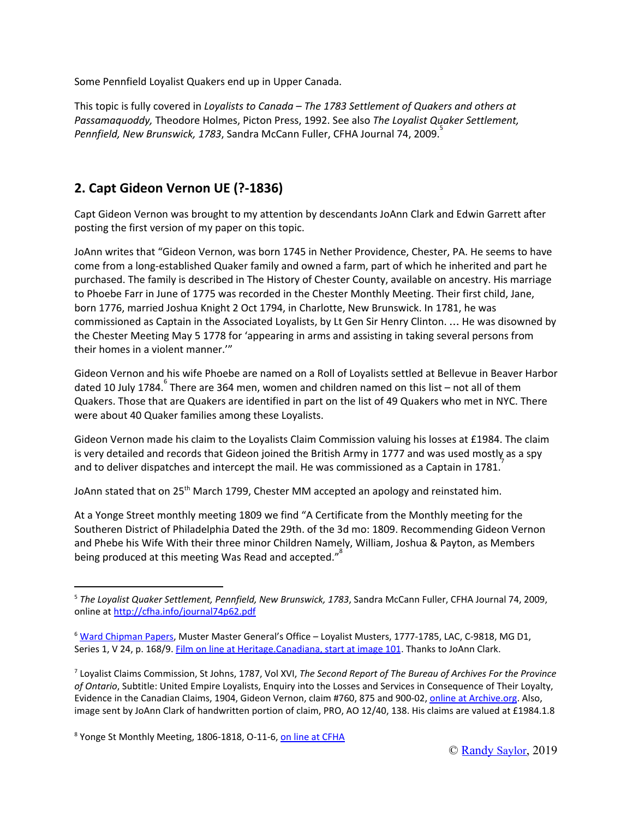Some Pennfield Loyalist Quakers end up in Upper Canada.

This topic is fully covered in *Loyalists to Canada – The 1783 Settlement of Quakers and others at Passamaquoddy,* Theodore Holmes, Picton Press, 1992. See also *The Loyalist Quaker Settlement, Pennfield, New Brunswick, 1783*, Sandra McCann Fuller, CFHA Journal 74, 2009. 5

## **2. Capt Gideon Vernon UE (?-1836)**

Capt Gideon Vernon was brought to my attention by descendants JoAnn Clark and Edwin Garrett after posting the first version of my paper on this topic.

JoAnn writes that "Gideon Vernon, was born 1745 in Nether Providence, Chester, PA. He seems to have come from a long-established Quaker family and owned a farm, part of which he inherited and part he purchased. The family is described in The History of Chester County, available on ancestry. His marriage to Phoebe Farr in June of 1775 was recorded in the Chester Monthly Meeting. Their first child, Jane, born 1776, married Joshua Knight 2 Oct 1794, in Charlotte, New Brunswick. In 1781, he was commissioned as Captain in the Associated Loyalists, by Lt Gen Sir Henry Clinton. … He was disowned by the Chester Meeting May 5 1778 for 'appearing in arms and assisting in taking several persons from their homes in a violent manner.'"

Gideon Vernon and his wife Phoebe are named on a Roll of Loyalists settled at Bellevue in Beaver Harbor dated 10 July 1784. There are 364 men, women and children named on this list – not all of them Quakers. Those that are Quakers are identified in part on the list of 49 Quakers who met in NYC. There were about 40 Quaker families among these Loyalists.

Gideon Vernon made his claim to the Loyalists Claim Commission valuing his losses at £1984. The claim is very detailed and records that Gideon joined the British Army in 1777 and was used mostly as a spy and to deliver dispatches and intercept the mail. He was commissioned as a Captain in 1781.<sup>7</sup>

JoAnn stated that on 25<sup>th</sup> March 1799, Chester MM accepted an apology and reinstated him.

At a Yonge Street monthly meeting 1809 we find "A Certificate from the Monthly meeting for the Southeren District of Philadelphia Dated the 29th. of the 3d mo: 1809. Recommending Gideon Vernon and Phebe his Wife With their three minor Children Namely, William, Joshua & Payton, as Members being produced at this meeting Was Read and accepted." $^{8}$ 

<sup>5</sup> *The Loyalist Quaker Settlement, Pennfield, New Brunswick, 1783*, Sandra McCann Fuller, CFHA Journal 74, 2009, online at <http://cfha.info/journal74p62.pdf>

<sup>&</sup>lt;sup>6</sup> Ward [Chipman](https://www.bac-lac.gc.ca/eng/discover/military-heritage/loyalists/loyalists-ward-chipman/Pages/loyalist-maritimes-ward-chipman.aspx) Papers, Muster Master General's Office - Loyalist Musters, 1777-1785, LAC, C-9818, MG D1, Series 1, V 24, p. 168/9. Film on line at [Heritage.Canadiana,](http://heritage.canadiana.ca/view/oocihm.lac_reel_c9818/101?r=0&s=1) start at image 101. Thanks to JoAnn Clark.

<sup>7</sup> Loyalist Claims Commission, St Johns, 1787, Vol XVI, *The Second Report of The Bureau of Archives For the Province of Ontario*, Subtitle: United Empire Loyalists, Enquiry into the Losses and Services in Consequence of Their Loyalty, Evidence in the Canadian Claims, 1904, Gideon Vernon, claim #760, 875 and 900-02, online at [Archive.org](https://archive.org/details/reportpart202ontauoft/page/n203). Also, image sent by JoAnn Clark of handwritten portion of claim, PRO, AO 12/40, 138. His claims are valued at £1984.1.8

<sup>&</sup>lt;sup>8</sup> Yonge St Monthly Meeting, 1806-1818, O-11-6, on line at [CFHA](http://www.cfha.info/YongeStO-11-6.pdf)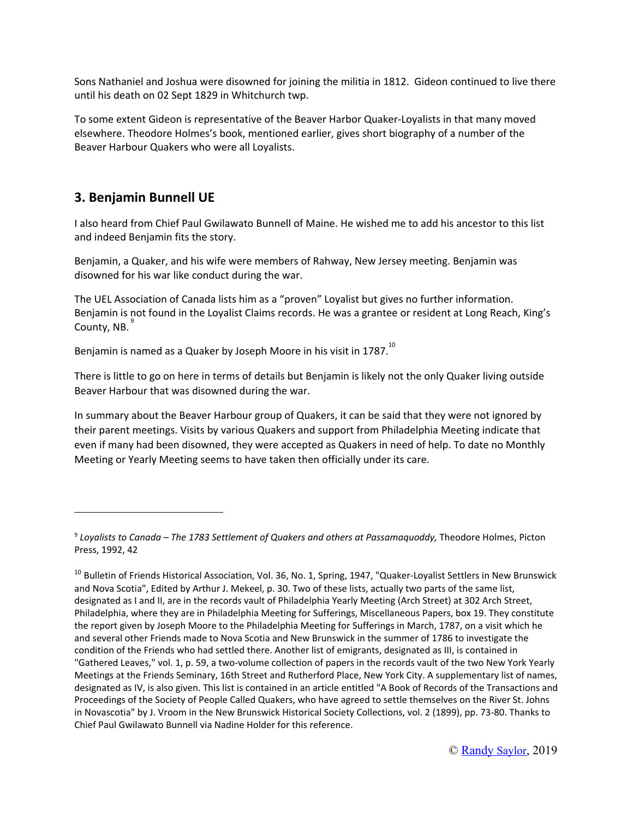Sons Nathaniel and Joshua were disowned for joining the militia in 1812. Gideon continued to live there until his death on 02 Sept 1829 in Whitchurch twp.

To some extent Gideon is representative of the Beaver Harbor Quaker-Loyalists in that many moved elsewhere. Theodore Holmes's book, mentioned earlier, gives short biography of a number of the Beaver Harbour Quakers who were all Loyalists.

### **3. Benjamin Bunnell UE**

I also heard from Chief Paul Gwilawato Bunnell of Maine. He wished me to add his ancestor to this list and indeed Benjamin fits the story.

Benjamin, a Quaker, and his wife were members of Rahway, New Jersey meeting. Benjamin was disowned for his war like conduct during the war.

The UEL Association of Canada lists him as a "proven" Loyalist but gives no further information. Benjamin is not found in the Loyalist Claims records. He was a grantee or resident at Long Reach, King's County, NB.<sup>9</sup>

Benjamin is named as a Quaker by Joseph Moore in his visit in 1787. $^{10}$ 

There is little to go on here in terms of details but Benjamin is likely not the only Quaker living outside Beaver Harbour that was disowned during the war.

In summary about the Beaver Harbour group of Quakers, it can be said that they were not ignored by their parent meetings. Visits by various Quakers and support from Philadelphia Meeting indicate that even if many had been disowned, they were accepted as Quakers in need of help. To date no Monthly Meeting or Yearly Meeting seems to have taken then officially under its care.

<sup>9</sup> *Loyalists to Canada – The 1783 Settlement of Quakers and others at Passamaquoddy,* Theodore Holmes, Picton Press, 1992, 42

<sup>&</sup>lt;sup>10</sup> Bulletin of Friends Historical Association, Vol. 36, No. 1, Spring, 1947, "Quaker-Loyalist Settlers in New Brunswick and Nova Scotia", Edited by Arthur J. Mekeel, p. 30. Two of these lists, actually two parts of the same list, designated as I and II, are in the records vault of Philadelphia Yearly Meeting (Arch Street) at 302 Arch Street, Philadelphia, where they are in Philadelphia Meeting for Sufferings, Miscellaneous Papers, box 19. They constitute the report given by Joseph Moore to the Philadelphia Meeting for Sufferings in March, 1787, on a visit which he and several other Friends made to Nova Scotia and New Brunswick in the summer of 1786 to investigate the condition of the Friends who had settled there. Another list of emigrants, designated as III, is contained in "Gathered Leaves," vol. 1, p. 59, a two-volume collection of papers in the records vault of the two New York Yearly Meetings at the Friends Seminary, 16th Street and Rutherford Place, New York City. A supplementary list of names, designated as IV, is also given. This list is contained in an article entitled "A Book of Records of the Transactions and Proceedings of the Society of People Called Quakers, who have agreed to settle themselves on the River St. Johns in Novascotia" by J. Vroom in the New Brunswick Historical Society Collections, vol. 2 (1899), pp. 73-80. Thanks to Chief Paul Gwilawato Bunnell via Nadine Holder for this reference.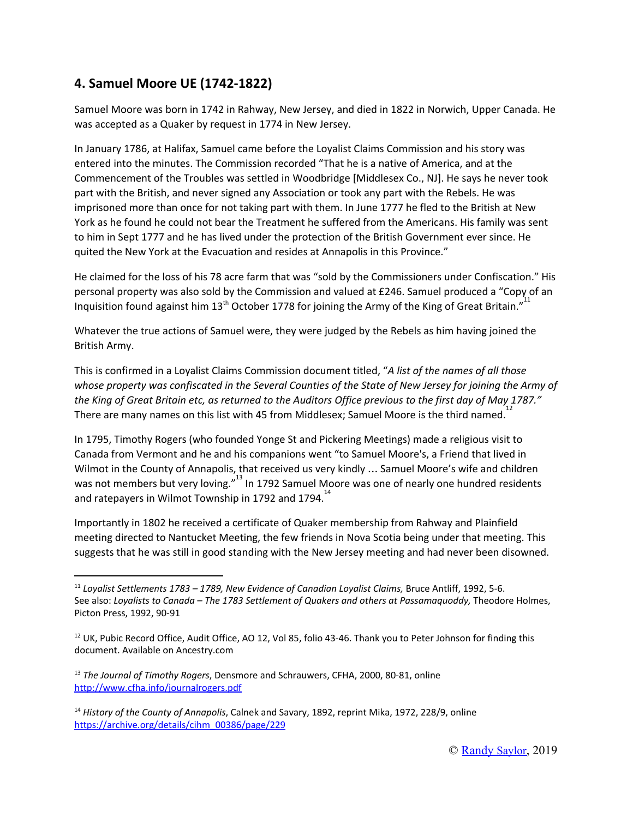### **4. Samuel Moore UE (1742-1822)**

Samuel Moore was born in 1742 in Rahway, New Jersey, and died in 1822 in Norwich, Upper Canada. He was accepted as a Quaker by request in 1774 in New Jersey.

In January 1786, at Halifax, Samuel came before the Loyalist Claims Commission and his story was entered into the minutes. The Commission recorded "That he is a native of America, and at the Commencement of the Troubles was settled in Woodbridge [Middlesex Co., NJ]. He says he never took part with the British, and never signed any Association or took any part with the Rebels. He was imprisoned more than once for not taking part with them. In June 1777 he fled to the British at New York as he found he could not bear the Treatment he suffered from the Americans. His family was sent to him in Sept 1777 and he has lived under the protection of the British Government ever since. He quited the New York at the Evacuation and resides at Annapolis in this Province."

He claimed for the loss of his 78 acre farm that was "sold by the Commissioners under Confiscation." His personal property was also sold by the Commission and valued at £246. Samuel produced a "Copy of an Inquisition found against him 13<sup>th</sup> October 1778 for joining the Army of the King of Great Britain."<sup>11</sup>

Whatever the true actions of Samuel were, they were judged by the Rebels as him having joined the British Army.

This is confirmed in a Loyalist Claims Commission document titled, "*A list of the names of all those* whose property was confiscated in the Several Counties of the State of New Jersey for joining the Army of the King of Great Britain etc, as returned to the Auditors Office previous to the first day of May 1787." There are many names on this list with 45 from Middlesex; Samuel Moore is the third named.<sup>12</sup>

In 1795, Timothy Rogers (who founded Yonge St and Pickering Meetings) made a religious visit to Canada from Vermont and he and his companions went "to Samuel Moore's, a Friend that lived in Wilmot in the County of Annapolis, that received us very kindly … Samuel Moore's wife and children was not members but very loving."<sup>13</sup> In 1792 Samuel Moore was one of nearly one hundred residents and ratepayers in Wilmot Township in 1792 and 1794.<sup>14</sup>

Importantly in 1802 he received a certificate of Quaker membership from Rahway and Plainfield meeting directed to Nantucket Meeting, the few friends in Nova Scotia being under that meeting. This suggests that he was still in good standing with the New Jersey meeting and had never been disowned.

<sup>11</sup> *Loyalist Settlements 1783 – 1789, New Evidence of Canadian Loyalist Claims,* Bruce Antliff, 1992, 5-6. See also: *Loyalists to Canada – The 1783 Settlement of Quakers and others at Passamaquoddy,* Theodore Holmes, Picton Press, 1992, 90-91

 $12$  UK, Pubic Record Office, Audit Office, AO 12, Vol 85, folio 43-46. Thank you to Peter Johnson for finding this document. Available on Ancestry.com

<sup>13</sup> *The Journal of Timothy Rogers*, Densmore and Schrauwers, CFHA, 2000, 80-81, online <http://www.cfha.info/journalrogers.pdf>

<sup>14</sup> *History of the County of Annapolis*, Calnek and Savary, 1892, reprint Mika, 1972, 228/9, online [https://archive.org/details/cihm\\_00386/page/229](https://archive.org/details/cihm_00386/page/229)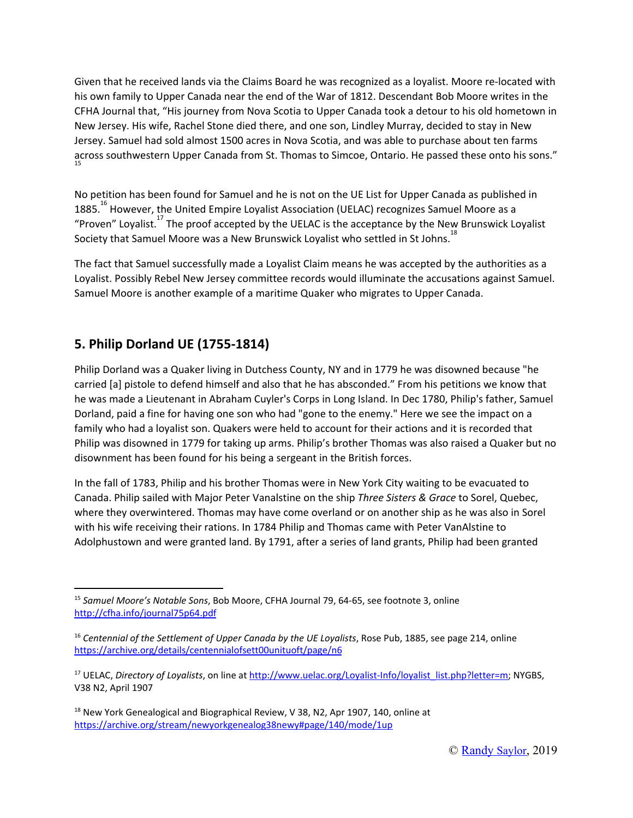Given that he received lands via the Claims Board he was recognized as a loyalist. Moore re-located with his own family to Upper Canada near the end of the War of 1812. Descendant Bob Moore writes in the CFHA Journal that, "His journey from Nova Scotia to Upper Canada took a detour to his old hometown in New Jersey. His wife, Rachel Stone died there, and one son, Lindley Murray, decided to stay in New Jersey. Samuel had sold almost 1500 acres in Nova Scotia, and was able to purchase about ten farms across southwestern Upper Canada from St. Thomas to Simcoe, Ontario. He passed these onto his sons." 15

No petition has been found for Samuel and he is not on the UE List for Upper Canada as published in 1885.<sup>16</sup> However, the United Empire Loyalist Association (UELAC) recognizes Samuel Moore as a "Proven" Loyalist.<sup>17</sup> The proof accepted by the UELAC is the acceptance by the New Brunswick Loyalist Society that Samuel Moore was a New Brunswick Loyalist who settled in St Johns.<sup>18</sup>

The fact that Samuel successfully made a Loyalist Claim means he was accepted by the authorities as a Loyalist. Possibly Rebel New Jersey committee records would illuminate the accusations against Samuel. Samuel Moore is another example of a maritime Quaker who migrates to Upper Canada.

## **5. Philip Dorland UE (1755-1814)**

Philip Dorland was a Quaker living in Dutchess County, NY and in 1779 he was disowned because "he carried [a] pistole to defend himself and also that he has absconded." From his petitions we know that he was made a Lieutenant in Abraham Cuyler's Corps in Long Island. In Dec 1780, Philip's father, Samuel Dorland, paid a fine for having one son who had "gone to the enemy." Here we see the impact on a family who had a loyalist son. Quakers were held to account for their actions and it is recorded that Philip was disowned in 1779 for taking up arms. Philip's brother Thomas was also raised a Quaker but no disownment has been found for his being a sergeant in the British forces.

In the fall of 1783, Philip and his brother Thomas were in New York City waiting to be evacuated to Canada. Philip sailed with Major Peter Vanalstine on the ship *Three Sisters & Grace* to Sorel, Quebec, where they overwintered. Thomas may have come overland or on another ship as he was also in Sorel with his wife receiving their rations. In 1784 Philip and Thomas came with Peter VanAlstine to Adolphustown and were granted land. By 1791, after a series of land grants, Philip had been granted

<sup>15</sup> *Samuel Moore's Notable Sons*, Bob Moore, CFHA Journal 79, 64-65, see footnote 3, online <http://cfha.info/journal75p64.pdf>

<sup>16</sup> *Centennial of the Settlement of Upper Canada by the UE Loyalists*, Rose Pub, 1885, see page 214, online <https://archive.org/details/centennialofsett00unituoft/page/n6>

<sup>&</sup>lt;sup>17</sup> UELAC, *Directory of Loyalists*, on line at [http://www.uelac.org/Loyalist-Info/loyalist\\_list.php?letter=m;](http://www.uelac.org/Loyalist-Info/loyalist_list.php?letter=m) NYGBS, V38 N2, April 1907

 $18$  New York Genealogical and Biographical Review, V 38, N2, Apr 1907, 140, online at <https://archive.org/stream/newyorkgenealog38newy#page/140/mode/1up>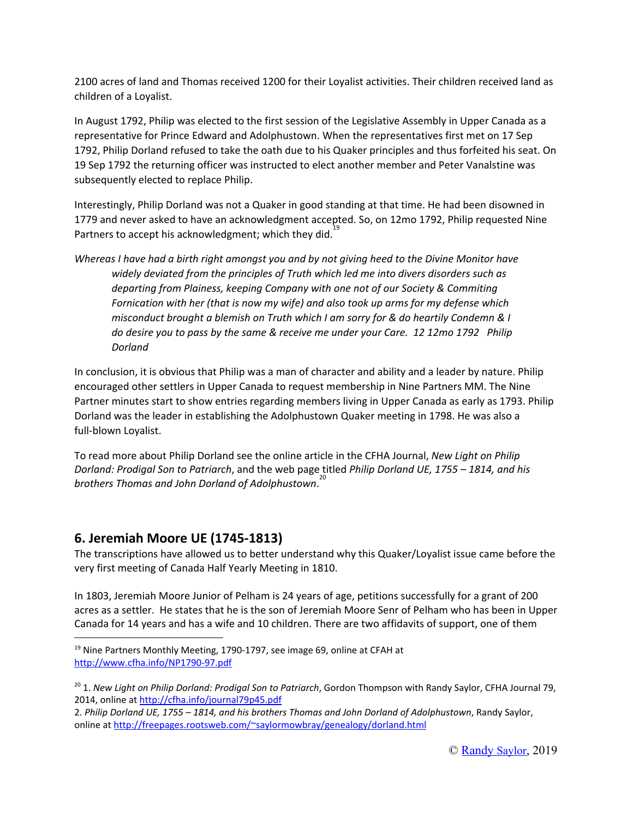2100 acres of land and Thomas received 1200 for their Loyalist activities. Their children received land as children of a Loyalist.

In August 1792, Philip was elected to the first session of the Legislative Assembly in Upper Canada as a representative for Prince Edward and Adolphustown. When the representatives first met on 17 Sep 1792, Philip Dorland refused to take the oath due to his Quaker principles and thus forfeited his seat. On 19 Sep 1792 the returning officer was instructed to elect another member and Peter Vanalstine was subsequently elected to replace Philip.

Interestingly, Philip Dorland was not a Quaker in good standing at that time. He had been disowned in 1779 and never asked to have an acknowledgment accepted. So, on 12mo 1792, Philip requested Nine Partners to accept his acknowledgment; which they did.<sup>19</sup>

Whereas I have had a birth right amongst you and by not giving heed to the Divine Monitor have *widely deviated from the principles of Truth which led me into divers disorders such as departing from Plainess, keeping Company with one not of our Society & Commiting Fornication with her (that is now my wife) and also took up arms for my defense which misconduct brought a blemish on Truth which I am sorry for & do heartily Condemn & I do desire you to pass by the same & receive me under your Care. 12 12mo 1792 Philip Dorland*

In conclusion, it is obvious that Philip was a man of character and ability and a leader by nature. Philip encouraged other settlers in Upper Canada to request membership in Nine Partners MM. The Nine Partner minutes start to show entries regarding members living in Upper Canada as early as 1793. Philip Dorland was the leader in establishing the Adolphustown Quaker meeting in 1798. He was also a full-blown Loyalist.

To read more about Philip Dorland see the online article in the CFHA Journal, *New Light on Philip Dorland: Prodigal Son to Patriarch*, and the web page titled *Philip Dorland UE, 1755 – 1814, and his brothers Thomas and John Dorland of Adolphustown*. 20

#### **6. Jeremiah Moore UE (1745-1813)**

The transcriptions have allowed us to better understand why this Quaker/Loyalist issue came before the very first meeting of Canada Half Yearly Meeting in 1810.

In 1803, Jeremiah Moore Junior of Pelham is 24 years of age, petitions successfully for a grant of 200 acres as a settler. He states that he is the son of Jeremiah Moore Senr of Pelham who has been in Upper Canada for 14 years and has a wife and 10 children. There are two affidavits of support, one of them

<sup>&</sup>lt;sup>19</sup> Nine Partners Monthly Meeting, 1790-1797, see image 69, online at CFAH at <http://www.cfha.info/NP1790-97.pdf>

<sup>20</sup> 1. *New Light on Philip Dorland: Prodigal Son to Patriarch*, Gordon Thompson with Randy Saylor, CFHA Journal 79, 2014, online at <http://cfha.info/journal79p45.pdf>

<sup>2.</sup> *Philip Dorland UE, 1755 – 1814, and his brothers Thomas and John Dorland of Adolphustown*, Randy Saylor, online at <http://freepages.rootsweb.com/~saylormowbray/genealogy/dorland.html>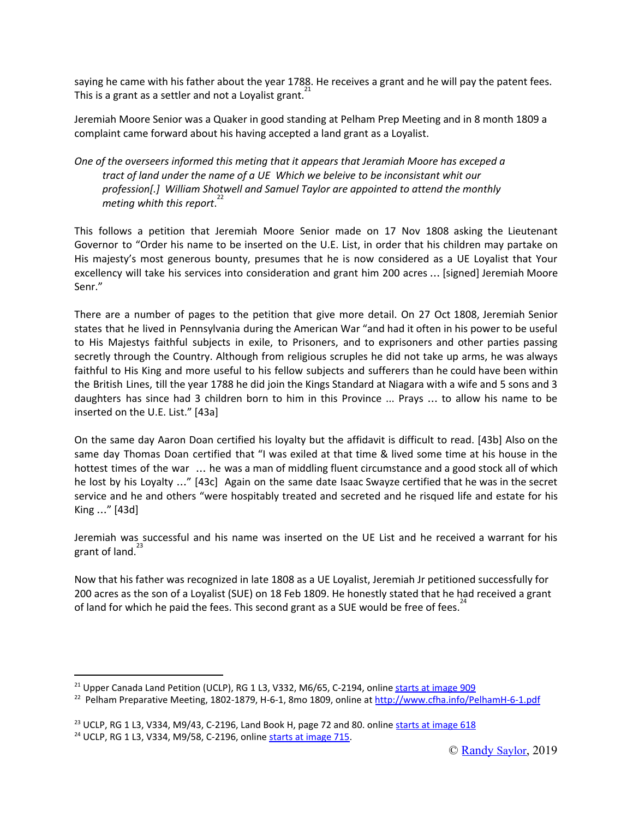saying he came with his father about the year 1788. He receives a grant and he will pay the patent fees. This is a grant as a settler and not a Loyalist grant.<sup>21</sup>

Jeremiah Moore Senior was a Quaker in good standing at Pelham Prep Meeting and in 8 month 1809 a complaint came forward about his having accepted a land grant as a Loyalist.

#### *One of the overseers informed this meting that it appears that Jeramiah Moore has exceped a tract of land under the name of a UE Which we beleive to be inconsistant whit our profession[.] William Shotwell and Samuel Taylor are appointed to attend the monthly meting whith this report*. 22

This follows a petition that Jeremiah Moore Senior made on 17 Nov 1808 asking the Lieutenant Governor to "Order his name to be inserted on the U.E. List, in order that his children may partake on His majesty's most generous bounty, presumes that he is now considered as a UE Loyalist that Your excellency will take his services into consideration and grant him 200 acres … [signed] Jeremiah Moore Senr."

There are a number of pages to the petition that give more detail. On 27 Oct 1808, Jeremiah Senior states that he lived in Pennsylvania during the American War "and had it often in his power to be useful to His Majestys faithful subjects in exile, to Prisoners, and to exprisoners and other parties passing secretly through the Country. Although from religious scruples he did not take up arms, he was always faithful to His King and more useful to his fellow subjects and sufferers than he could have been within the British Lines, till the year 1788 he did join the Kings Standard at Niagara with a wife and 5 sons and 3 daughters has since had 3 children born to him in this Province ... Prays … to allow his name to be inserted on the U.E. List." [43a]

On the same day Aaron Doan certified his loyalty but the affidavit is difficult to read. [43b] Also on the same day Thomas Doan certified that "I was exiled at that time & lived some time at his house in the hottest times of the war … he was a man of middling fluent circumstance and a good stock all of which he lost by his Loyalty …" [43c] Again on the same date Isaac Swayze certified that he was in the secret service and he and others "were hospitably treated and secreted and he risqued life and estate for his King …" [43d]

Jeremiah was successful and his name was inserted on the UE List and he received a warrant for his grant of land.<sup>23</sup>

Now that his father was recognized in late 1808 as a UE Loyalist, Jeremiah Jr petitioned successfully for 200 acres as the son of a Loyalist (SUE) on 18 Feb 1809. He honestly stated that he had received a grant of land for which he paid the fees. This second grant as a SUE would be free of fees.<sup>24</sup>

<sup>&</sup>lt;sup>21</sup> Upper Canada Land Petition (UCLP), RG 1 L3, V332, M6/65, C-2194, online starts at [image](http://www.collectionscanada.gc.ca/microform-digitization/006003-119.02-e.php?q2=29&q3=2537&sqn=909&tt=1043&PHPSESSID=de2j79ea0s3qhbom1fe4mnjk27) 909

<sup>22</sup> Pelham Preparative Meeting, 1802-1879, H-6-1, 8mo 1809, online at <http://www.cfha.info/PelhamH-6-1.pdf>

<sup>&</sup>lt;sup>23</sup> UCLP, RG 1 L3, V334, M9/43, C-2196, Land Book H, page 72 and 80. online starts at [image](http://www.collectionscanada.gc.ca/microform-digitization/006003-119.02-e.php?PHPSESSID=de2j79ea0s3qhbom1fe4mnjk27&sqn=618&q2=29&q3=2539&tt=1027) 618

<sup>&</sup>lt;sup>24</sup> UCLP, RG 1 L3, V334, M9/58, C-2196, online starts at [image](http://www.collectionscanada.gc.ca/microform-digitization/006003-119.02-e.php?q2=29&q3=2539&sqn=715&tt=1027&PHPSESSID=de2j79ea0s3qhbom1fe4mnjk27) 715.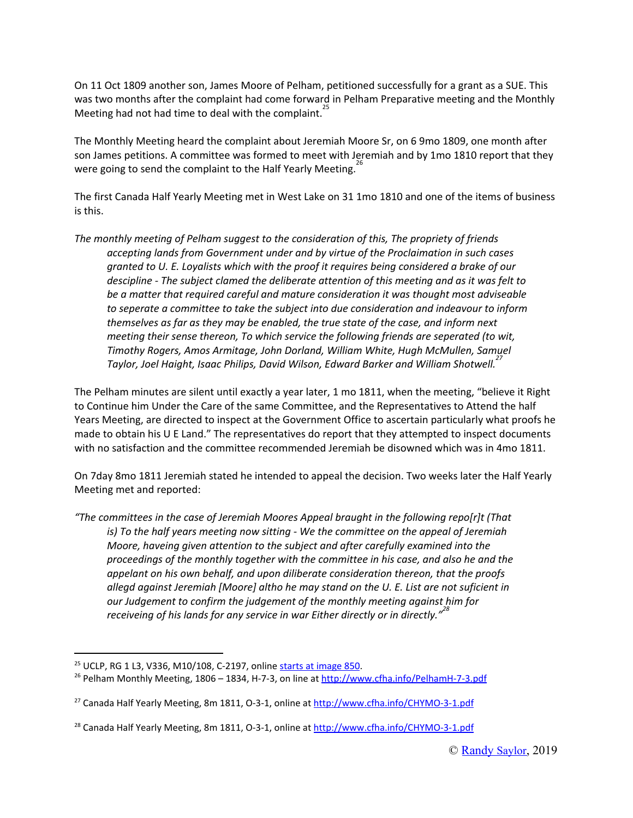On 11 Oct 1809 another son, James Moore of Pelham, petitioned successfully for a grant as a SUE. This was two months after the complaint had come forward in Pelham Preparative meeting and the Monthly Meeting had not had time to deal with the complaint. 25

The Monthly Meeting heard the complaint about Jeremiah Moore Sr, on 6 9mo 1809, one month after son James petitions. A committee was formed to meet with Jeremiah and by 1mo 1810 report that they were going to send the complaint to the Half Yearly Meeting.<sup>26</sup>

The first Canada Half Yearly Meeting met in West Lake on 31 1mo 1810 and one of the items of business is this.

*The monthly meeting of Pelham suggest to the consideration of this, The propriety of friends accepting lands from Government under and by virtue of the Proclaimation in such cases granted to U. E. Loyalists which with the proof it requires being considered a brake of our descipline - The subject clamed the deliberate attention of this meeting and as it was felt to be a matter that required careful and mature consideration it was thought most adviseable to seperate a committee to take the subject into due consideration and indeavour to inform themselves as far as they may be enabled, the true state of the case, and inform next meeting their sense thereon, To which service the following friends are seperated (to wit, Timothy Rogers, Amos Armitage, John Dorland, William White, Hugh McMullen, Samuel Taylor, Joel Haight, Isaac Philips, David Wilson, Edward Barker and William Shotwell. 27*

The Pelham minutes are silent until exactly a year later, 1 mo 1811, when the meeting, "believe it Right to Continue him Under the Care of the same Committee, and the Representatives to Attend the half Years Meeting, are directed to inspect at the Government Office to ascertain particularly what proofs he made to obtain his U E Land." The representatives do report that they attempted to inspect documents with no satisfaction and the committee recommended Jeremiah be disowned which was in 4mo 1811.

On 7day 8mo 1811 Jeremiah stated he intended to appeal the decision. Two weeks later the Half Yearly Meeting met and reported:

*"The committees in the case of Jeremiah Moores Appeal braught in the following repo[r]t (That is) To the half years meeting now sitting - We the committee on the appeal of Jeremiah Moore, haveing given attention to the subject and after carefully examined into the proceedings of the monthly together with the committee in his case, and also he and the appelant on his own behalf, and upon diliberate consideration thereon, that the proofs allegd against Jeremiah [Moore] altho he may stand on the U. E. List are not suficient in our Judgement to confirm the judgement of the monthly meeting against him for receiveing of his lands for any service in war Either directly or in directly." 28*

<sup>&</sup>lt;sup>25</sup> UCLP, RG 1 L3, V336, M10/108, C-2197, online starts at [image](http://www.collectionscanada.gc.ca/microform-digitization/006003-119.02-e.php?PHPSESSID=de2j79ea0s3qhbom1fe4mnjk27&sqn=850&q2=29&q3=2540&tt=1031) 850.

<sup>26</sup> Pelham Monthly Meeting, 1806 – 1834, H-7-3, on line at <http://www.cfha.info/PelhamH-7-3.pdf>

<sup>27</sup> Canada Half Yearly Meeting, 8m 1811, O-3-1, online at <http://www.cfha.info/CHYMO-3-1.pdf>

<sup>&</sup>lt;sup>28</sup> Canada Half Yearly Meeting, 8m 1811, O-3-1, online at <http://www.cfha.info/CHYMO-3-1.pdf>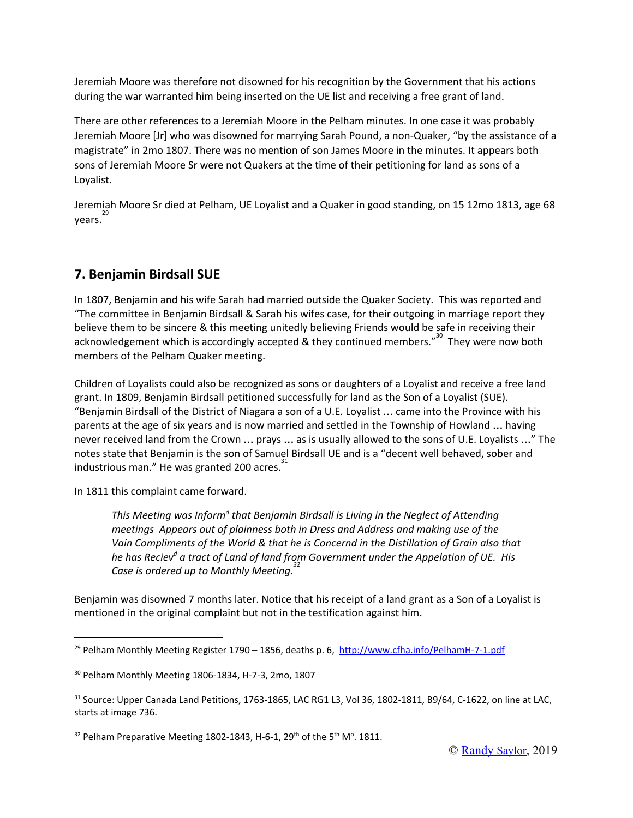Jeremiah Moore was therefore not disowned for his recognition by the Government that his actions during the war warranted him being inserted on the UE list and receiving a free grant of land.

There are other references to a Jeremiah Moore in the Pelham minutes. In one case it was probably Jeremiah Moore [Jr] who was disowned for marrying Sarah Pound, a non-Quaker, "by the assistance of a magistrate" in 2mo 1807. There was no mention of son James Moore in the minutes. It appears both sons of Jeremiah Moore Sr were not Quakers at the time of their petitioning for land as sons of a Loyalist.

Jeremiah Moore Sr died at Pelham, UE Loyalist and a Quaker in good standing, on 15 12mo 1813, age 68 years. 29

## **7. Benjamin Birdsall SUE**

In 1807, Benjamin and his wife Sarah had married outside the Quaker Society. This was reported and "The committee in Benjamin Birdsall & Sarah his wifes case, for their outgoing in marriage report they believe them to be sincere & this meeting unitedly believing Friends would be safe in receiving their acknowledgement which is accordingly accepted & they continued members. $n^{30}$  They were now both members of the Pelham Quaker meeting.

Children of Loyalists could also be recognized as sons or daughters of a Loyalist and receive a free land grant. In 1809, Benjamin Birdsall petitioned successfully for land as the Son of a Loyalist (SUE). "Benjamin Birdsall of the District of Niagara a son of a U.E. Loyalist … came into the Province with his parents at the age of six years and is now married and settled in the Township of Howland … having never received land from the Crown … prays … as is usually allowed to the sons of U.E. Loyalists …" The notes state that Benjamin is the son of Samuel Birdsall UE and is a "decent well behaved, sober and industrious man." He was granted 200 acres.<sup>31</sup>

In 1811 this complaint came forward.

*This Meeting was Inform d that Benjamin Birdsall is Living in the Neglect of Attending meetings Appears out of plainness both in Dress and Address and making use of the Vain Compliments of the World & that he is Concernd in the Distillation of Grain also that he has Reciev <sup>d</sup> a tract of Land of land from Government under the Appelation of UE. His Case is ordered up to Monthly Meeting. 32*

Benjamin was disowned 7 months later. Notice that his receipt of a land grant as a Son of a Loyalist is mentioned in the original complaint but not in the testification against him.

<sup>&</sup>lt;sup>29</sup> Pelham Monthly Meeting Register 1790 – 1856, deaths p. 6, <http://www.cfha.info/PelhamH-7-1.pdf>

<sup>30</sup> Pelham Monthly Meeting 1806-1834, H-7-3, 2mo, 1807

<sup>&</sup>lt;sup>31</sup> Source: Upper Canada Land Petitions, 1763-1865, LAC RG1 L3, Vol 36, 1802-1811, B9/64, C-1622, on line at LAC, starts at image 736.

<sup>&</sup>lt;sup>32</sup> Pelham Preparative Meeting 1802-1843, H-6-1, 29<sup>th</sup> of the 5<sup>th</sup> M<sup>o</sup>. 1811.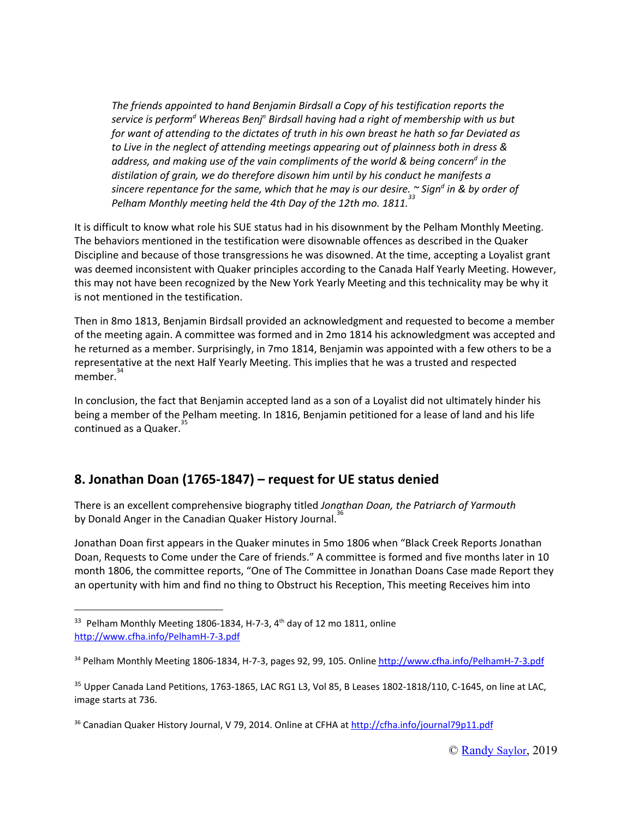*The friends appointed to hand Benjamin Birdsall a Copy of his testification reports the service is perform <sup>d</sup> Whereas Benj <sup>n</sup> Birdsall having had a right of membership with us but for want of attending to the dictates of truth in his own breast he hath so far Deviated as to Live in the neglect of attending meetings appearing out of plainness both in dress & address, and making use of the vain compliments of the world & being concern d in the distilation of grain, we do therefore disown him until by his conduct he manifests a* sincere repentance for the same, which that he may is our desire.  $\widetilde{\phantom{a}}$  Sign $^d$  in & by order of *Pelham Monthly meeting held the 4th Day of the 12th mo. 1811. 33*

It is difficult to know what role his SUE status had in his disownment by the Pelham Monthly Meeting. The behaviors mentioned in the testification were disownable offences as described in the Quaker Discipline and because of those transgressions he was disowned. At the time, accepting a Loyalist grant was deemed inconsistent with Quaker principles according to the Canada Half Yearly Meeting. However, this may not have been recognized by the New York Yearly Meeting and this technicality may be why it is not mentioned in the testification.

Then in 8mo 1813, Benjamin Birdsall provided an acknowledgment and requested to become a member of the meeting again. A committee was formed and in 2mo 1814 his acknowledgment was accepted and he returned as a member. Surprisingly, in 7mo 1814, Benjamin was appointed with a few others to be a representative at the next Half Yearly Meeting. This implies that he was a trusted and respected member. 34

In conclusion, the fact that Benjamin accepted land as a son of a Loyalist did not ultimately hinder his being a member of the Pelham meeting. In 1816, Benjamin petitioned for a lease of land and his life continued as a Quaker. 35

## **8. Jonathan Doan (1765-1847) – request for UE status denied**

There is an excellent comprehensive biography titled *Jonathan Doan, the Patriarch of Yarmouth* by Donald Anger in the Canadian Quaker History Journal.<sup>36</sup>

Jonathan Doan first appears in the Quaker minutes in 5mo 1806 when "Black Creek Reports Jonathan Doan, Requests to Come under the Care of friends." A committee is formed and five months later in 10 month 1806, the committee reports, "One of The Committee in Jonathan Doans Case made Report they an opertunity with him and find no thing to Obstruct his Reception, This meeting Receives him into

 $33$  Pelham Monthly Meeting 1806-1834, H-7-3, 4<sup>th</sup> day of 12 mo 1811, online <http://www.cfha.info/PelhamH-7-3.pdf>

<sup>34</sup> Pelham Monthly Meeting 1806-1834, H-7-3, pages 92, 99, 105. Online <http://www.cfha.info/PelhamH-7-3.pdf>

<sup>&</sup>lt;sup>35</sup> Upper Canada Land Petitions, 1763-1865, LAC RG1 L3, Vol 85, B Leases 1802-1818/110, C-1645, on line at LAC, image starts at 736.

<sup>&</sup>lt;sup>36</sup> Canadian Quaker History Journal, V 79, 2014. Online at CFHA at <http://cfha.info/journal79p11.pdf>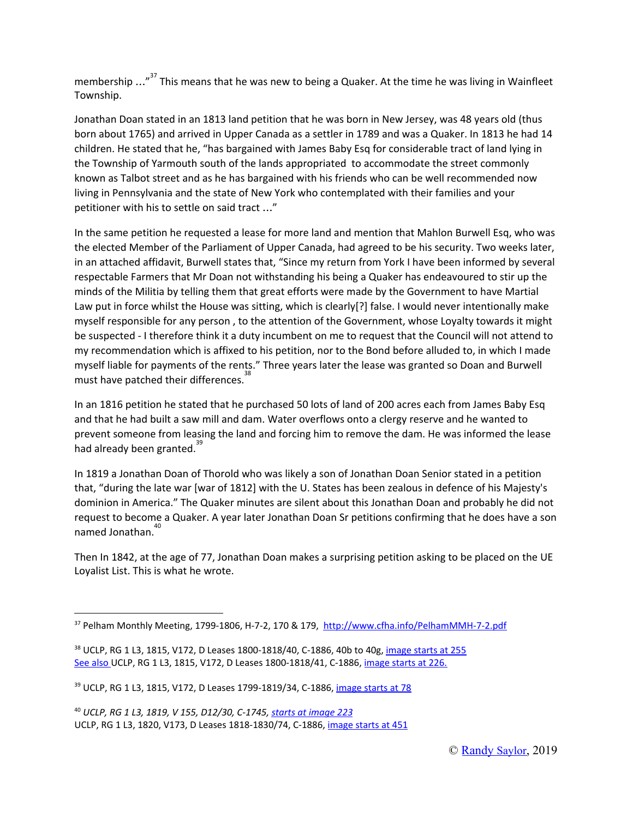membership ..."<sup>37</sup> This means that he was new to being a Quaker. At the time he was living in Wainfleet Township.

Jonathan Doan stated in an 1813 land petition that he was born in New Jersey, was 48 years old (thus born about 1765) and arrived in Upper Canada as a settler in 1789 and was a Quaker. In 1813 he had 14 children. He stated that he, "has bargained with James Baby Esq for considerable tract of land lying in the Township of Yarmouth south of the lands appropriated to accommodate the street commonly known as Talbot street and as he has bargained with his friends who can be well recommended now living in Pennsylvania and the state of New York who contemplated with their families and your petitioner with his to settle on said tract …"

In the same petition he requested a lease for more land and mention that Mahlon Burwell Esq, who was the elected Member of the Parliament of Upper Canada, had agreed to be his security. Two weeks later, in an attached affidavit, Burwell states that, "Since my return from York I have been informed by several respectable Farmers that Mr Doan not withstanding his being a Quaker has endeavoured to stir up the minds of the Militia by telling them that great efforts were made by the Government to have Martial Law put in force whilst the House was sitting, which is clearly[?] false. I would never intentionally make myself responsible for any person , to the attention of the Government, whose Loyalty towards it might be suspected - I therefore think it a duty incumbent on me to request that the Council will not attend to my recommendation which is affixed to his petition, nor to the Bond before alluded to, in which I made myself liable for payments of the rents." Three years later the lease was granted so Doan and Burwell must have patched their differences. 38

In an 1816 petition he stated that he purchased 50 lots of land of 200 acres each from James Baby Esq and that he had built a saw mill and dam. Water overflows onto a clergy reserve and he wanted to prevent someone from leasing the land and forcing him to remove the dam. He was informed the lease .<br>had already been granted. <sup>39</sup>

In 1819 a Jonathan Doan of Thorold who was likely a son of Jonathan Doan Senior stated in a petition that, "during the late war [war of 1812] with the U. States has been zealous in defence of his Majesty's dominion in America." The Quaker minutes are silent about this Jonathan Doan and probably he did not request to become a Quaker. A year later Jonathan Doan Sr petitions confirming that he does have a son named Jonathan. 40

Then In 1842, at the age of 77, Jonathan Doan makes a surprising petition asking to be placed on the UE Loyalist List. This is what he wrote.

<sup>&</sup>lt;sup>37</sup> Pelham Monthly Meeting, 1799-1806, H-7-2, 170 & 179, <http://www.cfha.info/PelhamMMH-7-2.pdf>

<sup>&</sup>lt;sup>38</sup> UCLP, RG 1 L3, 1815, V172, D Leases 1800-1818/40, C-1886, 40b to 40g, [image](http://www.collectionscanada.gc.ca/microform-digitization/006003-119.02-e.php?PHPSESSID=de2j79ea0s3qhbom1fe4mnjk27&sqn=255&q2=29&q3=2428&tt=925) starts at 255 See also UCLP, RG 1 L3, 1815, V172, D Leases 1800-1818/41, C-1886, [image](http://www.collectionscanada.gc.ca/microform-digitization/006003-119.02-e.php?q2=29&q3=2428&sqn=266&tt=925&PHPSESSID=de2j79ea0s3qhbom1fe4mnjk27) starts at 226.

<sup>39</sup> UCLP, RG 1 L3, 1815, V172, D Leases 1799-1819/34, C-1886, [image](http://www.collectionscanada.gc.ca/microform-digitization/006003-119.02-e.php?PHPSESSID=de2j79ea0s3qhbom1fe4mnjk27&sqn=78&q2=29&q3=2428&tt=925) starts at 78

<sup>40</sup> *UCLP, RG 1 L3, 1819, V 155, D12/30, C-1745, starts at [image](http://www.collectionscanada.gc.ca/microform-digitization/006003-119.02-e.php?PHPSESSID=de2j79ea0s3qhbom1fe4mnjk27&sqn=223&q2=29&q3=2416&tt=1406) 223* UCLP, RG 1 L3, 1820, V173, D Leases 1818-1830/74, C-1886, [image](http://www.collectionscanada.gc.ca/microform-digitization/006003-119.02-e.php?q2=29&q3=2428&sqn=451&tt=925&PHPSESSID=de2j79ea0s3qhbom1fe4mnjk27) starts at 451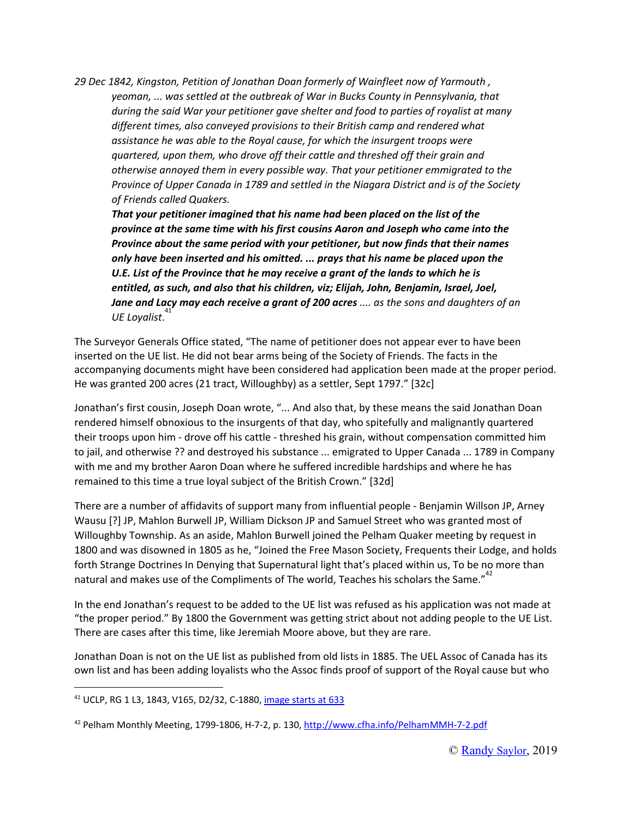*29 Dec 1842, Kingston, Petition of Jonathan Doan formerly of Wainfleet now of Yarmouth , yeoman, ... was settled at the outbreak of War in Bucks County in Pennsylvania, that during the said War your petitioner gave shelter and food to parties of royalist at many different times, also conveyed provisions to their British camp and rendered what assistance he was able to the Royal cause, for which the insurgent troops were quartered, upon them, who drove off their cattle and threshed off their grain and otherwise annoyed them in every possible way. That your petitioner emmigrated to the Province of Upper Canada in 1789 and settled in the Niagara District and is of the Society of Friends called Quakers.*

*That your petitioner imagined that his name had been placed on the list of the province at the same time with his first cousins Aaron and Joseph who came into the Province about the same period with your petitioner, but now finds that their names only have been inserted and his omitted. ... prays that his name be placed upon the U.E. List of the Province that he may receive a grant of the lands to which he is entitled, as such, and also that his children, viz; Elijah, John, Benjamin, Israel, Joel, Jane and Lacy may each receive a grant of 200 acres .... as the sons and daughters of an UE Loyalist*. 41

The Surveyor Generals Office stated, "The name of petitioner does not appear ever to have been inserted on the UE list. He did not bear arms being of the Society of Friends. The facts in the accompanying documents might have been considered had application been made at the proper period. He was granted 200 acres (21 tract, Willoughby) as a settler, Sept 1797." [32c]

Jonathan's first cousin, Joseph Doan wrote, "... And also that, by these means the said Jonathan Doan rendered himself obnoxious to the insurgents of that day, who spitefully and malignantly quartered their troops upon him - drove off his cattle - threshed his grain, without compensation committed him to jail, and otherwise ?? and destroyed his substance ... emigrated to Upper Canada ... 1789 in Company with me and my brother Aaron Doan where he suffered incredible hardships and where he has remained to this time a true loyal subject of the British Crown." [32d]

There are a number of affidavits of support many from influential people - Benjamin Willson JP, Arney Wausu [?] JP, Mahlon Burwell JP, William Dickson JP and Samuel Street who was granted most of Willoughby Township. As an aside, Mahlon Burwell joined the Pelham Quaker meeting by request in 1800 and was disowned in 1805 as he, "Joined the Free Mason Society, Frequents their Lodge, and holds forth Strange Doctrines In Denying that Supernatural light that's placed within us, To be no more than natural and makes use of the Compliments of The world, Teaches his scholars the Same."<sup>42</sup>

In the end Jonathan's request to be added to the UE list was refused as his application was not made at "the proper period." By 1800 the Government was getting strict about not adding people to the UE List. There are cases after this time, like Jeremiah Moore above, but they are rare.

Jonathan Doan is not on the UE list as published from old lists in 1885. The UEL Assoc of Canada has its own list and has been adding loyalists who the Assoc finds proof of support of the Royal cause but who

<sup>41</sup> UCLP, RG 1 L3, 1843, V165, D2/32, C-1880, [image](http://www.collectionscanada.gc.ca/microform-digitization/006003-119.02-e.php?q2=29&q3=2422&sqn=633&tt=909&PHPSESSID=de2j79ea0s3qhbom1fe4mnjk27) starts at 633

<sup>42</sup> Pelham Monthly Meeting, 1799-1806, H-7-2, p. 130, <http://www.cfha.info/PelhamMMH-7-2.pdf>